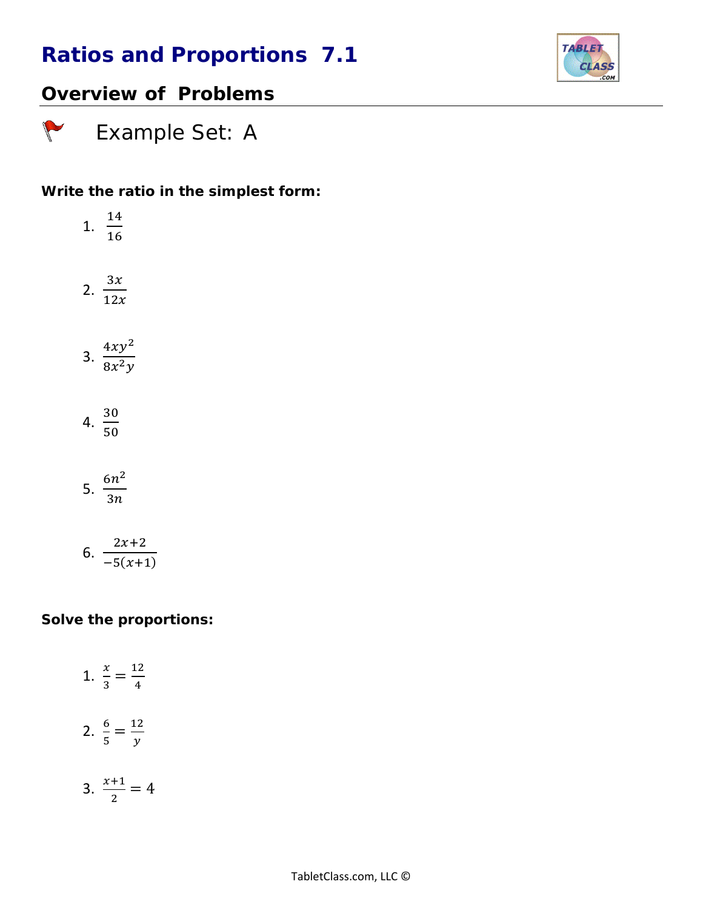

## *Overview of Problems*

 *Example Set: A*

### *Write the ratio in the simplest form:*

| 1. $\frac{14}{16}$       |
|--------------------------|
| 2. $\frac{3x}{12x}$      |
| 3. $\frac{4xy^2}{8x^2y}$ |
| 4. $\frac{30}{50}$       |
| 5. $\frac{6n^2}{3n}$     |
|                          |

$$
6. \ \frac{2x+2}{-5(x+1)}
$$

#### *Solve the proportions:*

1. 
$$
\frac{x}{3} = \frac{12}{4}
$$
  
2.  $\frac{6}{5} = \frac{12}{y}$   
3.  $\frac{x+1}{2} = 4$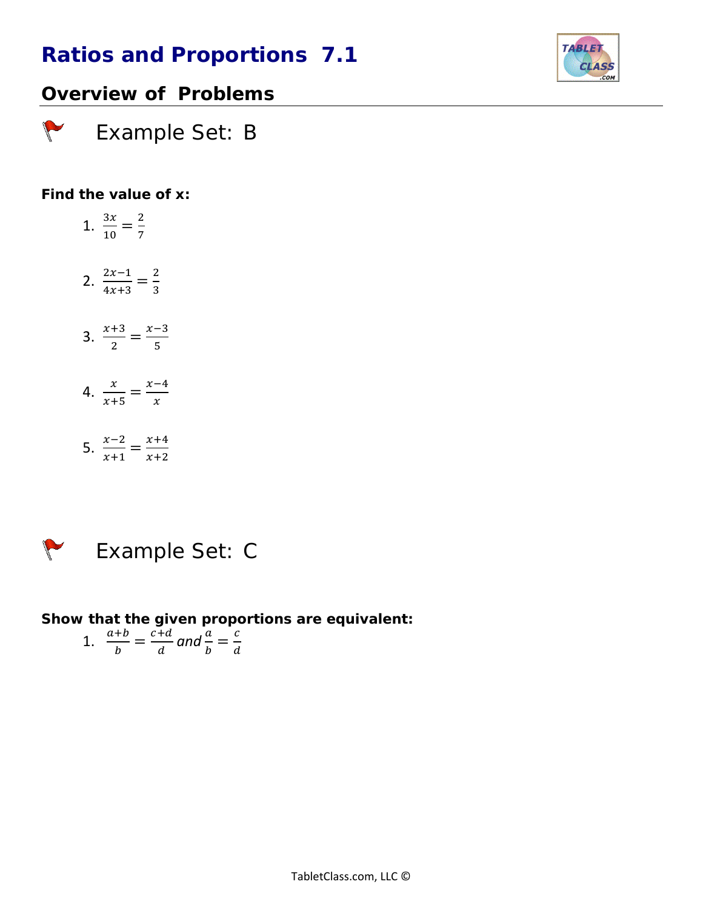

### *Overview of Problems*

 *Example Set: B*

### *Find the value of x:*

 $\sqrt{2}$ 

- 1.  $\frac{3x}{10} = \frac{2}{7}$
- 2.  $\frac{2x-1}{4x+3} = \frac{2}{3}$
- 3.  $\frac{x+3}{2} = \frac{x-3}{5}$
- 4.  $\frac{x}{x+5} = \frac{x-4}{x}$
- 5.  $\frac{x-2}{x+1} = \frac{x+4}{x+2}$

 $\sqrt{\frac{2}{2}}$ 

# *Example Set: C*

*Show that the given proportions are equivalent:*

$$
1. \quad \frac{a+b}{b} = \frac{c+d}{d} \text{ and } \frac{a}{b} = \frac{c}{d}
$$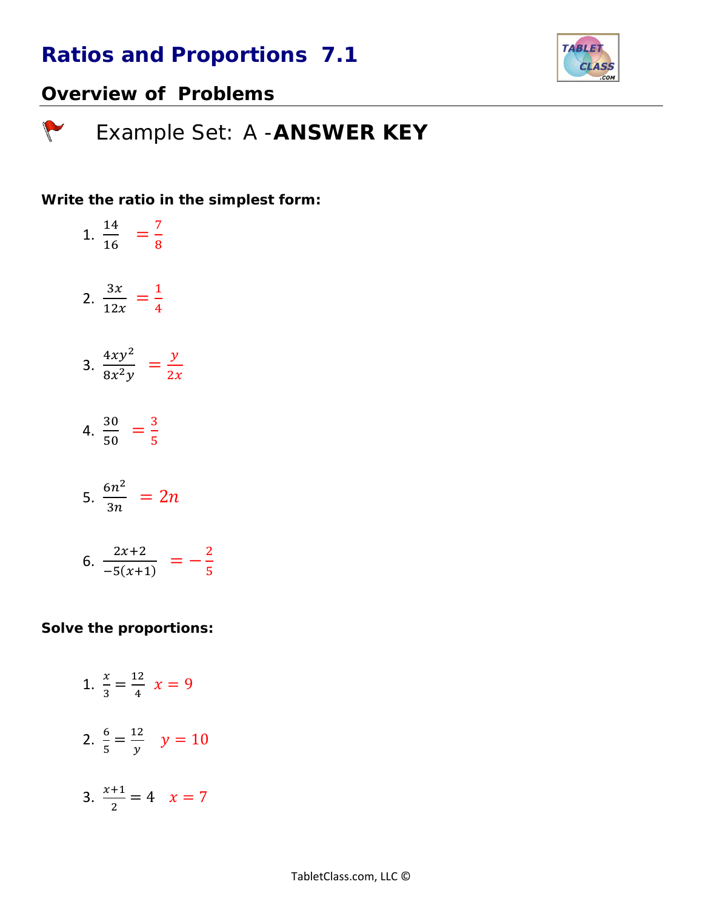

### *Overview of Problems*

 *Example Set: A -ANSWER KEY*

#### *Write the ratio in the simplest form:*

1.  $\frac{14}{16}$  =  $\frac{7}{8}$ 2.  $\frac{3x}{12x} = \frac{1}{4}$ 

- 3.  $\frac{4xy^2}{8x^2y} = \frac{y}{2x}$
- 4.  $\frac{30}{50} = \frac{3}{5}$

$$
5. \ \frac{6n^2}{3n} = 2n
$$

$$
6. \ \frac{2x+2}{-5(x+1)} = -\frac{2}{5}
$$

#### *Solve the proportions:*

- 1.  $\frac{x}{3} = \frac{12}{4}$   $x = 9$ 2.  $\frac{6}{5} = \frac{12}{y}$   $y = 10$
- 3.  $\frac{x+1}{2} = 4$   $x = 7$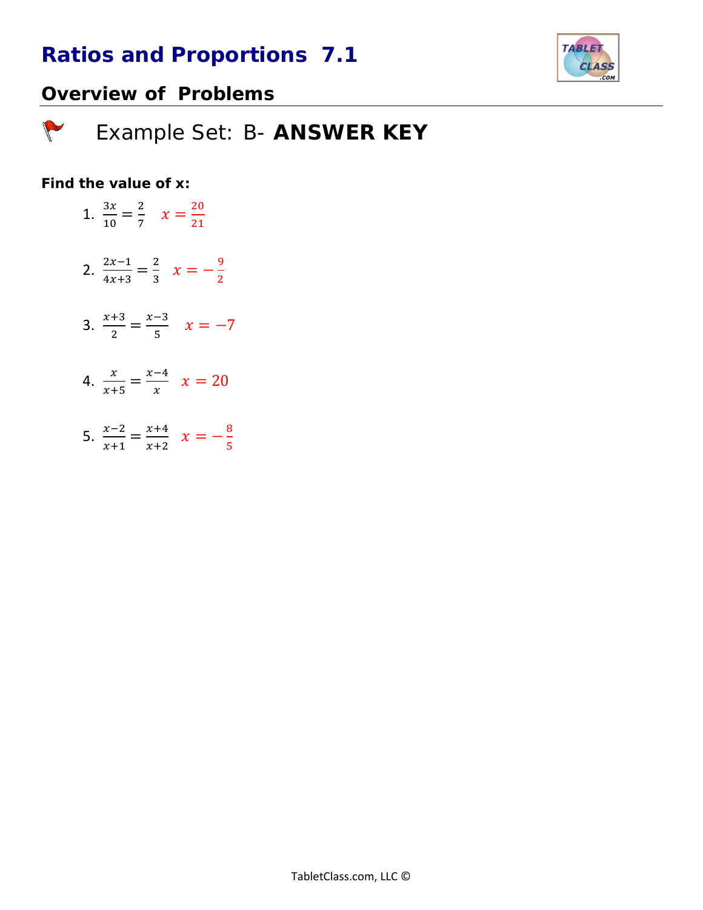

## *Overview of Problems*

 *Example Set: B- ANSWER KEY*

### *Find the value of x:*

- 1.  $\frac{3x}{10} = \frac{2}{7}$   $x = \frac{20}{21}$
- 2.  $\frac{2x-1}{4x+3} = \frac{2}{3}$   $x = -\frac{9}{2}$
- 3.  $\frac{x+3}{2} = \frac{x-3}{5}$   $x = -7$
- 4.  $\frac{x}{x+5} = \frac{x-4}{x}$   $x = 20$
- 5.  $\frac{x-2}{x+1} = \frac{x+4}{x+2}$   $x = -\frac{8}{5}$